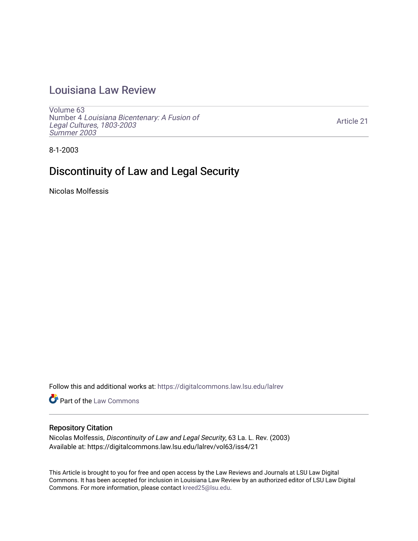## [Louisiana Law Review](https://digitalcommons.law.lsu.edu/lalrev)

[Volume 63](https://digitalcommons.law.lsu.edu/lalrev/vol63) Number 4 [Louisiana Bicentenary: A Fusion of](https://digitalcommons.law.lsu.edu/lalrev/vol63/iss4) [Legal Cultures, 1803-2003](https://digitalcommons.law.lsu.edu/lalrev/vol63/iss4) [Summer 2003](https://digitalcommons.law.lsu.edu/lalrev/vol63/iss4) 

[Article 21](https://digitalcommons.law.lsu.edu/lalrev/vol63/iss4/21) 

8-1-2003

# Discontinuity of Law and Legal Security

Nicolas Molfessis

Follow this and additional works at: [https://digitalcommons.law.lsu.edu/lalrev](https://digitalcommons.law.lsu.edu/lalrev?utm_source=digitalcommons.law.lsu.edu%2Flalrev%2Fvol63%2Fiss4%2F21&utm_medium=PDF&utm_campaign=PDFCoverPages)

Part of the [Law Commons](https://network.bepress.com/hgg/discipline/578?utm_source=digitalcommons.law.lsu.edu%2Flalrev%2Fvol63%2Fiss4%2F21&utm_medium=PDF&utm_campaign=PDFCoverPages)

#### Repository Citation

Nicolas Molfessis, Discontinuity of Law and Legal Security, 63 La. L. Rev. (2003) Available at: https://digitalcommons.law.lsu.edu/lalrev/vol63/iss4/21

This Article is brought to you for free and open access by the Law Reviews and Journals at LSU Law Digital Commons. It has been accepted for inclusion in Louisiana Law Review by an authorized editor of LSU Law Digital Commons. For more information, please contact [kreed25@lsu.edu](mailto:kreed25@lsu.edu).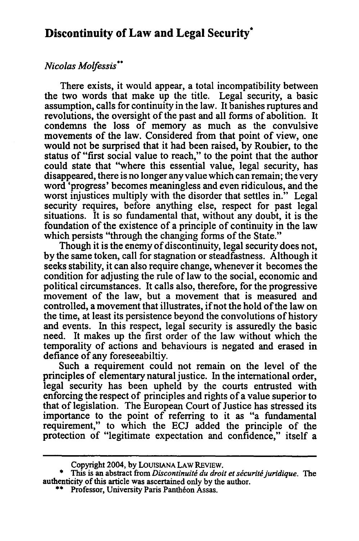### **Discontinuity of Law and Legal Security\***

#### *NicolasMolfessis° \**

There exists, it would appear, a total incompatibility between the two words that make up the title. Legal security, a basic assumption, calls for continuity in the law. It banishes ruptures and revolutions, the oversight of the past and all forms of abolition. It condemns the loss of memory as much as the convulsive movements of the law. Considered from that point of view, one would not be surprised that it had been raised, **by** Roubier, to the status of "first social value to reach," to the point that the author could state that "where this essential value, legal security, has disappeared, there is no longer any value which can remain; the very word 'progress' becomes meaningless and even ridiculous, and the worst injustices multiply with the disorder that settles in." Legal security requires, before anything else, respect for past legal situations. It is so fundamental that, without any doubt, it is the foundation of the existence of a principle of continuity in the law which persists "through the changing forms of the State."

Though it is the enemy of discontinuity, legal security does not, **by** the same token, call for stagnation or steadfastness. Although it seeks stability, it can also require change, whenever it becomes the condition for adjusting the rule of law to the social, economic and political circumstances. It calls also, therefore, for the progressive movement of the law, but a movement that is measured and controlled, a movement that illustrates, ifnot the hold of the law on the time, at least its persistence beyond the convolutions of history and events. In this respect, legal security is assuredly the basic need. It makes up the first order of the law without which the temporality of actions and behaviours is negated and erased in defiance of any foreseeabiltiy.

Such a requirement could not remain on the level of the principles of elementary natural justice. In the international order, legal security has been upheld by the courts entrusted with enforcing the respect of principles and rights of a value superior to that of legislation. The European Court of Justice has stressed its importance to the point of referring to it as "a fundamental requirement," to which the ECJ added the principle of the protection of "legitimate expectation and confidence," itself a

Copyright 2004, **by LOUISIANA** LAW REVIEW.

This is an abstract from *Discontinuité du droit et sécurité juridique*. The authenticity of this article was ascertained only **by** the author. **\*\*** Professor, University Paris Pantheon Assas.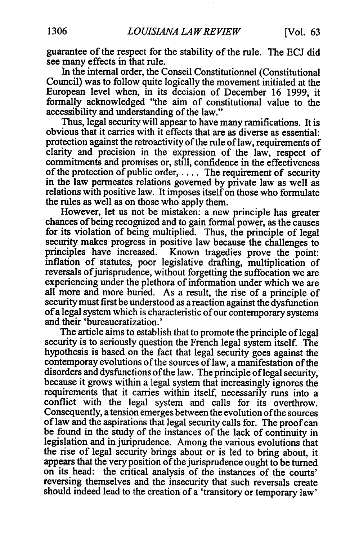guarantee of the respect for the stability of the rule. The ECJ did see many effects in that rule.

In the internal order, the Conseil Constitutionnel (Constitutional Council) was to follow quite logically the movement initiated at the European level when, in its decision of December 16 1999, it formally acknowledged "the aim of constitutional value to the accessibility and understanding of the law."

Thus, legal security will appear to have many ramifications. It is obvious that it carries with it effects that are as diverse as essential: protection against the retroactivity of the rule of law, requirements of clarity and precision in the expression of the law, respect of commitments and promises or, still, confidence in the effectiveness of the protection of public order, **....** The requirement of security in the law permeates relations governed by private law as well as relations with positive law. It imposes itself on those who formulate the rules as well as on those who apply them.

However, let us not be mistaken: a new principle has greater chances ofbeing recognized and to gain formal power, as the causes for its violation of being multiplied. Thus, the principle of legal security makes progress in positive law because the challenges to principles have increased. Known tragedies prove the point: inflation of statutes, poor legislative drafting, multiplication of reversals of jurisprudence, without forgetting the suffocation we are experiencing under the plethora of information under which we are all more and more buried. As a result, the rise of a principle of security must first be understood as a reaction against the dysfunction ofa legal system which is characteristic of our contemporary systems and their 'bureaucratization.'

The article aims to establish that to promote the principle of legal security is to seriously question the French legal system itself. The hypothesis is based on the fact that legal security goes against the contemporay evolutions of the sources of law, a manifestation of the disorders and dysfunctions of the law. The principle of legal security, because it grows within a legal system that increasingly ignores the requirements that it carries within itself, necessarily runs into a conflict with the legal system and calls for its overthrow. Consequently, a tension emerges between the evolution ofthe sources of law and the aspirations that legal security calls for. The proof can be found in the study of the instances of the lack of continuity in legislation and in juriprudence. Among the various evolutions that the rise of legal security brings about or is led to bring about, it appears that the very position of the jurisprudence ought to be turned on its head: the critical analysis of the instances of the courts' reversing themselves and the insecurity that such reversals create should indeed lead to the creation of a 'transitory or temporary law'